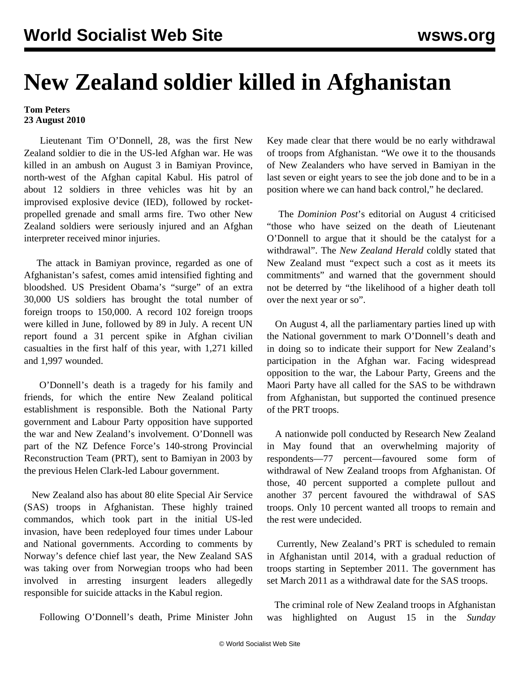## **New Zealand soldier killed in Afghanistan**

## **Tom Peters 23 August 2010**

 Lieutenant Tim O'Donnell, 28, was the first New Zealand soldier to die in the US-led Afghan war. He was killed in an ambush on August 3 in Bamiyan Province, north-west of the Afghan capital Kabul. His patrol of about 12 soldiers in three vehicles was hit by an improvised explosive device (IED), followed by rocketpropelled grenade and small arms fire. Two other New Zealand soldiers were seriously injured and an Afghan interpreter received minor injuries.

 The attack in Bamiyan province, regarded as one of Afghanistan's safest, comes amid intensified fighting and bloodshed. US President Obama's "surge" of an extra 30,000 US soldiers has brought the total number of foreign troops to 150,000. A record 102 foreign troops were killed in June, followed by 89 in July. A recent UN report found a 31 percent spike in Afghan civilian casualties in the first half of this year, with 1,271 killed and 1,997 wounded.

 O'Donnell's death is a tragedy for his family and friends, for which the entire New Zealand political establishment is responsible. Both the National Party government and Labour Party opposition have supported the war and New Zealand's involvement. O'Donnell was part of the NZ Defence Force's 140-strong Provincial Reconstruction Team (PRT), sent to Bamiyan in 2003 by the previous Helen Clark-led Labour government.

 New Zealand also has about 80 elite Special Air Service (SAS) troops in Afghanistan. These highly trained commandos, which took part in the initial US-led invasion, have been redeployed four times under Labour and National governments. According to comments by Norway's defence chief last year, the New Zealand SAS was taking over from Norwegian troops who had been involved in arresting insurgent leaders allegedly responsible for suicide attacks in the Kabul region.

Following O'Donnell's death, Prime Minister John

Key made clear that there would be no early withdrawal of troops from Afghanistan. "We owe it to the thousands of New Zealanders who have served in Bamiyan in the last seven or eight years to see the job done and to be in a position where we can hand back control," he declared.

 The *Dominion Post*'s editorial on August 4 criticised "those who have seized on the death of Lieutenant O'Donnell to argue that it should be the catalyst for a withdrawal". The *New Zealand Herald* coldly stated that New Zealand must "expect such a cost as it meets its commitments" and warned that the government should not be deterred by "the likelihood of a higher death toll over the next year or so".

 On August 4, all the parliamentary parties lined up with the National government to mark O'Donnell's death and in doing so to indicate their support for New Zealand's participation in the Afghan war. Facing widespread opposition to the war, the Labour Party, Greens and the Maori Party have all called for the SAS to be withdrawn from Afghanistan, but supported the continued presence of the PRT troops.

 A nationwide poll conducted by Research New Zealand in May found that an overwhelming majority of respondents—77 percent—favoured some form of withdrawal of New Zealand troops from Afghanistan. Of those, 40 percent supported a complete pullout and another 37 percent favoured the withdrawal of SAS troops. Only 10 percent wanted all troops to remain and the rest were undecided.

 Currently, New Zealand's PRT is scheduled to remain in Afghanistan until 2014, with a gradual reduction of troops starting in September 2011. The government has set March 2011 as a withdrawal date for the SAS troops.

 The criminal role of New Zealand troops in Afghanistan was highlighted on August 15 in the *Sunday*